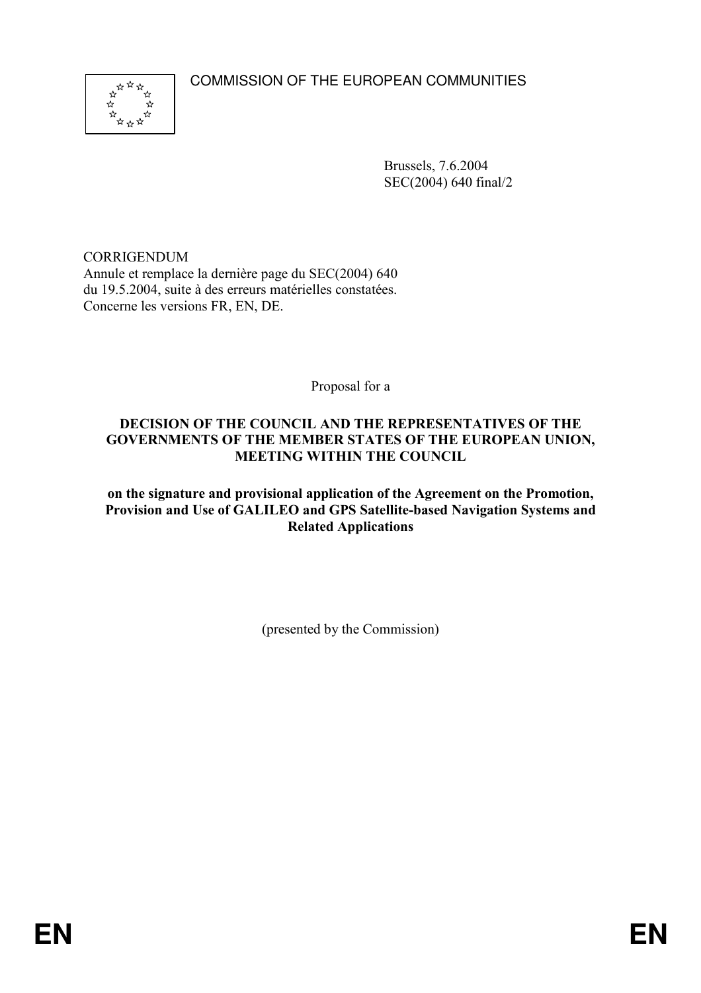COMMISSION OF THE EUROPEAN COMMUNITIES



Brussels, 7.6.2004 SEC(2004) 640 final/2

CORRIGENDUM Annule et remplace la dernière page du SEC(2004) 640 du 19.5.2004, suite à des erreurs matérielles constatées. Concerne les versions FR, EN, DE.

Proposal for a

### DECISION OF THE COUNCIL AND THE REPRESENTATIVES OF THE GOVERNMENTS OF THE MEMBER STATES OF THE EUROPEAN UNION, MEETING WITHIN THE COUNCIL

on the signature and provisional application of the Agreement on the Promotion, Provision and Use of GALILEO and GPS Satellite-based Navigation Systems and Related Applications

(presented by the Commission)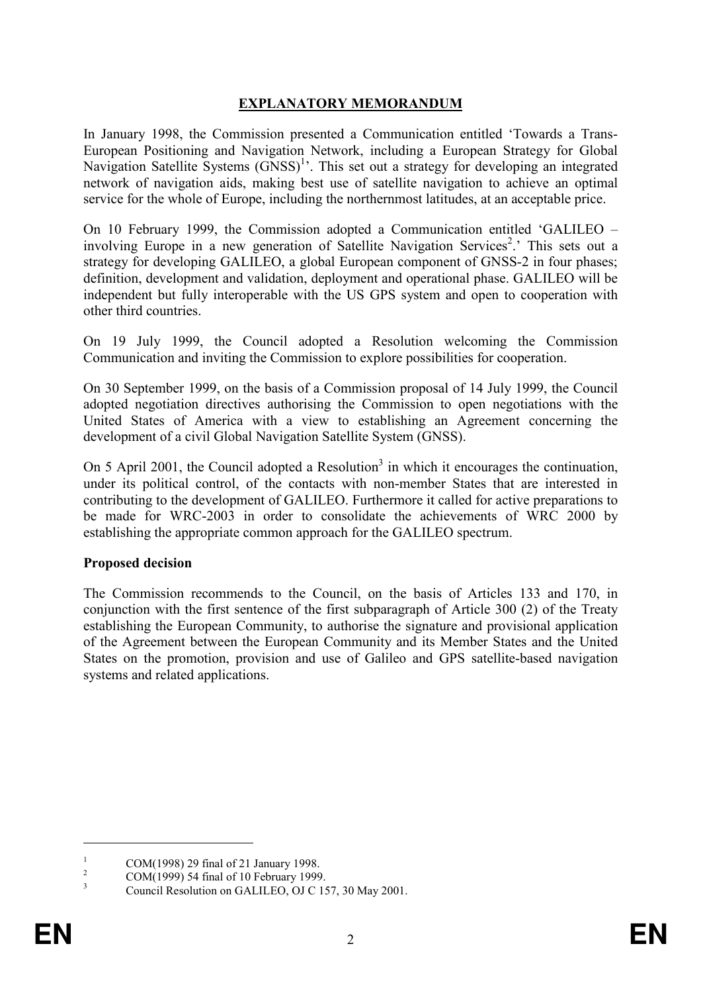### EXPLANATORY MEMORANDUM

In January 1998, the Commission presented a Communication entitled 'Towards a Trans-European Positioning and Navigation Network, including a European Strategy for Global Navigation Satellite Systems (GNSS)<sup>1</sup>. This set out a strategy for developing an integrated network of navigation aids, making best use of satellite navigation to achieve an optimal service for the whole of Europe, including the northernmost latitudes, at an acceptable price.

On 10 February 1999, the Commission adopted a Communication entitled 'GALILEO – involving Europe in a new generation of Satellite Navigation Services<sup>2</sup>.' This sets out a strategy for developing GALILEO, a global European component of GNSS-2 in four phases; definition, development and validation, deployment and operational phase. GALILEO will be independent but fully interoperable with the US GPS system and open to cooperation with other third countries.

On 19 July 1999, the Council adopted a Resolution welcoming the Commission Communication and inviting the Commission to explore possibilities for cooperation.

On 30 September 1999, on the basis of a Commission proposal of 14 July 1999, the Council adopted negotiation directives authorising the Commission to open negotiations with the United States of America with a view to establishing an Agreement concerning the development of a civil Global Navigation Satellite System (GNSS).

On 5 April 2001, the Council adopted a Resolution<sup>3</sup> in which it encourages the continuation, under its political control, of the contacts with non-member States that are interested in contributing to the development of GALILEO. Furthermore it called for active preparations to be made for WRC-2003 in order to consolidate the achievements of WRC 2000 by establishing the appropriate common approach for the GALILEO spectrum.

#### Proposed decision

The Commission recommends to the Council, on the basis of Articles 133 and 170, in conjunction with the first sentence of the first subparagraph of Article 300 (2) of the Treaty establishing the European Community, to authorise the signature and provisional application of the Agreement between the European Community and its Member States and the United States on the promotion, provision and use of Galileo and GPS satellite-based navigation systems and related applications.

 $\overline{a}$ 

<sup>1</sup> COM(1998) 29 final of 21 January 1998.

<sup>2</sup> COM(1999) 54 final of 10 February 1999.

<sup>3</sup> Council Resolution on GALILEO, OJ C 157, 30 May 2001.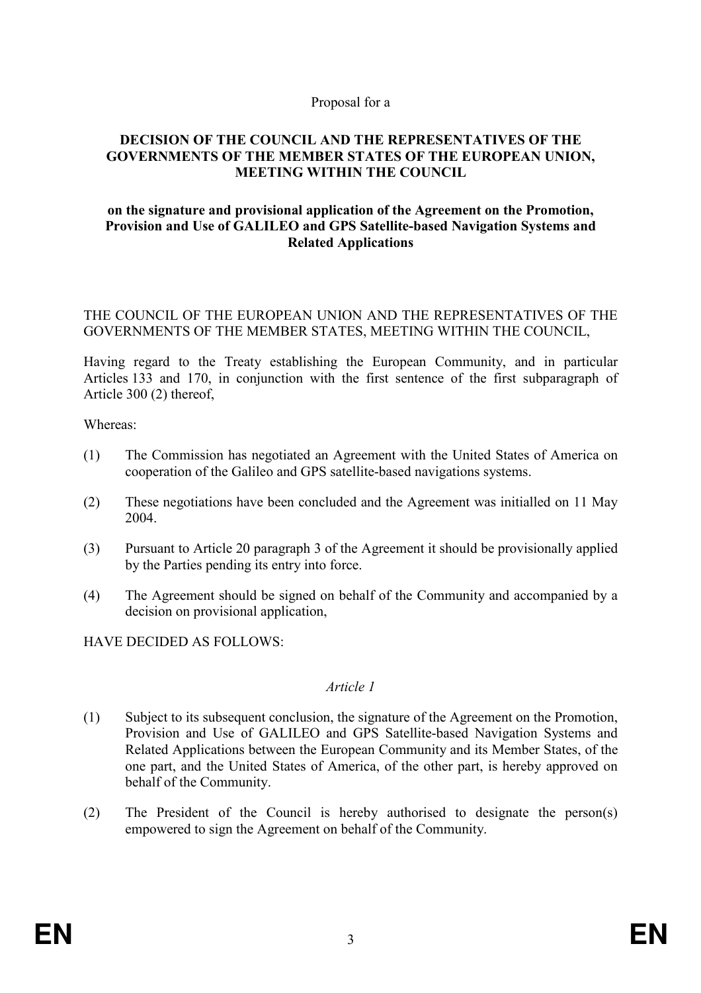#### Proposal for a

#### DECISION OF THE COUNCIL AND THE REPRESENTATIVES OF THE GOVERNMENTS OF THE MEMBER STATES OF THE EUROPEAN UNION, MEETING WITHIN THE COUNCIL

### on the signature and provisional application of the Agreement on the Promotion, Provision and Use of GALILEO and GPS Satellite-based Navigation Systems and Related Applications

### THE COUNCIL OF THE EUROPEAN UNION AND THE REPRESENTATIVES OF THE GOVERNMENTS OF THE MEMBER STATES, MEETING WITHIN THE COUNCIL,

Having regard to the Treaty establishing the European Community, and in particular Articles 133 and 170, in conjunction with the first sentence of the first subparagraph of Article 300 (2) thereof,

Whereas:

- (1) The Commission has negotiated an Agreement with the United States of America on cooperation of the Galileo and GPS satellite-based navigations systems.
- (2) These negotiations have been concluded and the Agreement was initialled on 11 May 2004.
- (3) Pursuant to Article 20 paragraph 3 of the Agreement it should be provisionally applied by the Parties pending its entry into force.
- (4) The Agreement should be signed on behalf of the Community and accompanied by a decision on provisional application,

HAVE DECIDED AS FOLLOWS:

#### Article 1

- (1) Subject to its subsequent conclusion, the signature of the Agreement on the Promotion, Provision and Use of GALILEO and GPS Satellite-based Navigation Systems and Related Applications between the European Community and its Member States, of the one part, and the United States of America, of the other part, is hereby approved on behalf of the Community.
- (2) The President of the Council is hereby authorised to designate the person(s) empowered to sign the Agreement on behalf of the Community.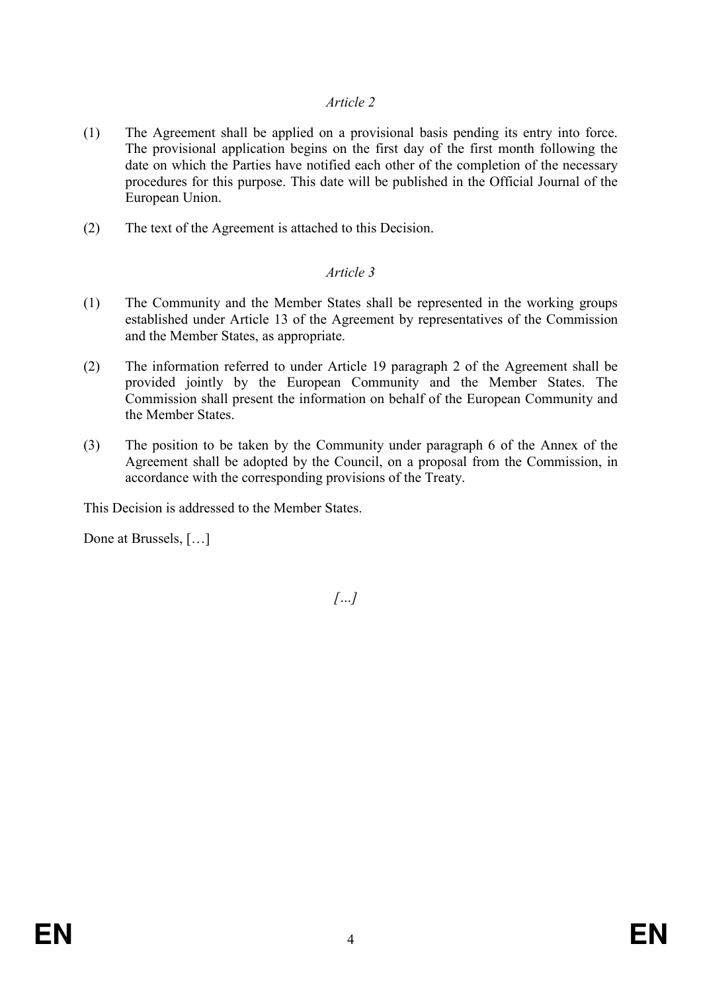- (1) The Agreement shall be applied on a provisional basis pending its entry into force. The provisional application begins on the first day of the first month following the date on which the Parties have notified each other of the completion of the necessary procedures for this purpose. This date will be published in the Official Journal of the European Union.
- (2) The text of the Agreement is attached to this Decision.

# Article 3

- (1) The Community and the Member States shall be represented in the working groups established under Article 13 of the Agreement by representatives of the Commission and the Member States, as appropriate.
- (2) The information referred to under Article 19 paragraph 2 of the Agreement shall be provided jointly by the European Community and the Member States. The Commission shall present the information on behalf of the European Community and the Member States.
- (3) The position to be taken by the Community under paragraph 6 of the Annex of the Agreement shall be adopted by the Council, on a proposal from the Commission, in accordance with the corresponding provisions of the Treaty.

This Decision is addressed to the Member States.

Done at Brussels, […]

 $\left[\ldots\right]$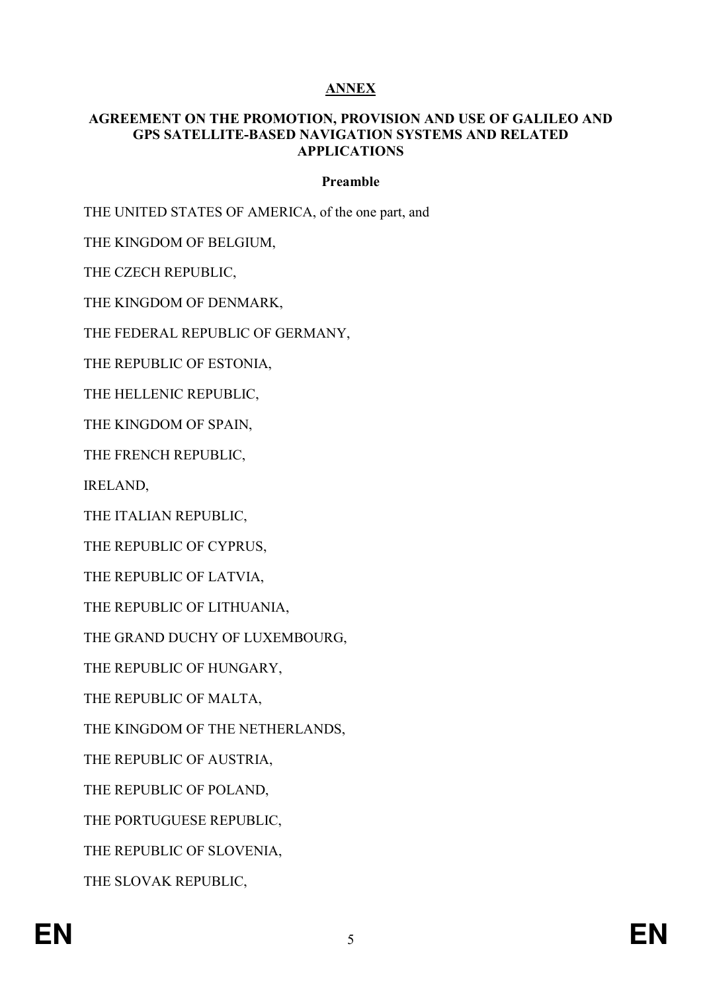# ANNEX

#### AGREEMENT ON THE PROMOTION, PROVISION AND USE OF GALILEO AND GPS SATELLITE-BASED NAVIGATION SYSTEMS AND RELATED APPLICATIONS

### Preamble

THE UNITED STATES OF AMERICA, of the one part, and

THE KINGDOM OF BELGIUM,

THE CZECH REPUBLIC,

THE KINGDOM OF DENMARK,

THE FEDERAL REPUBLIC OF GERMANY,

THE REPUBLIC OF ESTONIA,

THE HELLENIC REPUBLIC,

THE KINGDOM OF SPAIN,

THE FRENCH REPUBLIC,

IRELAND,

THE ITALIAN REPUBLIC,

THE REPUBLIC OF CYPRUS,

THE REPUBLIC OF LATVIA,

THE REPUBLIC OF LITHUANIA,

THE GRAND DUCHY OF LUXEMBOURG,

THE REPUBLIC OF HUNGARY,

THE REPUBLIC OF MALTA,

THE KINGDOM OF THE NETHERLANDS,

THE REPUBLIC OF AUSTRIA,

THE REPUBLIC OF POLAND,

THE PORTUGUESE REPUBLIC,

THE REPUBLIC OF SLOVENIA,

THE SLOVAK REPUBLIC,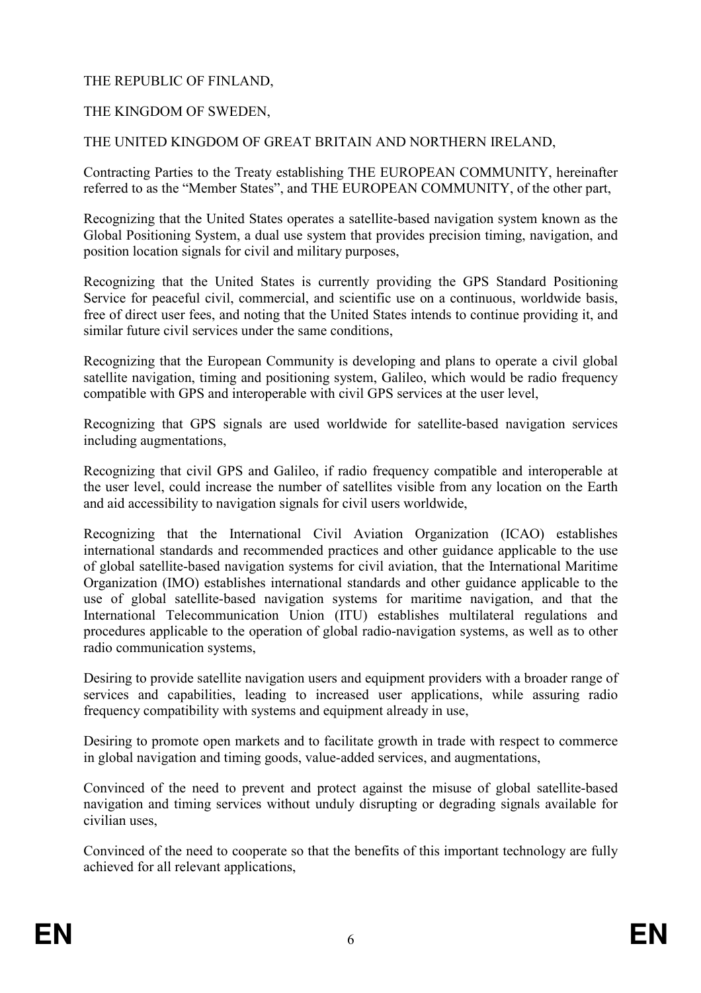# THE REPUBLIC OF FINLAND,

# THE KINGDOM OF SWEDEN,

### THE UNITED KINGDOM OF GREAT BRITAIN AND NORTHERN IRELAND,

Contracting Parties to the Treaty establishing THE EUROPEAN COMMUNITY, hereinafter referred to as the "Member States", and THE EUROPEAN COMMUNITY, of the other part,

Recognizing that the United States operates a satellite-based navigation system known as the Global Positioning System, a dual use system that provides precision timing, navigation, and position location signals for civil and military purposes,

Recognizing that the United States is currently providing the GPS Standard Positioning Service for peaceful civil, commercial, and scientific use on a continuous, worldwide basis, free of direct user fees, and noting that the United States intends to continue providing it, and similar future civil services under the same conditions,

Recognizing that the European Community is developing and plans to operate a civil global satellite navigation, timing and positioning system, Galileo, which would be radio frequency compatible with GPS and interoperable with civil GPS services at the user level,

Recognizing that GPS signals are used worldwide for satellite-based navigation services including augmentations,

Recognizing that civil GPS and Galileo, if radio frequency compatible and interoperable at the user level, could increase the number of satellites visible from any location on the Earth and aid accessibility to navigation signals for civil users worldwide,

Recognizing that the International Civil Aviation Organization (ICAO) establishes international standards and recommended practices and other guidance applicable to the use of global satellite-based navigation systems for civil aviation, that the International Maritime Organization (IMO) establishes international standards and other guidance applicable to the use of global satellite-based navigation systems for maritime navigation, and that the International Telecommunication Union (ITU) establishes multilateral regulations and procedures applicable to the operation of global radio-navigation systems, as well as to other radio communication systems,

Desiring to provide satellite navigation users and equipment providers with a broader range of services and capabilities, leading to increased user applications, while assuring radio frequency compatibility with systems and equipment already in use,

Desiring to promote open markets and to facilitate growth in trade with respect to commerce in global navigation and timing goods, value-added services, and augmentations,

Convinced of the need to prevent and protect against the misuse of global satellite-based navigation and timing services without unduly disrupting or degrading signals available for civilian uses,

Convinced of the need to cooperate so that the benefits of this important technology are fully achieved for all relevant applications,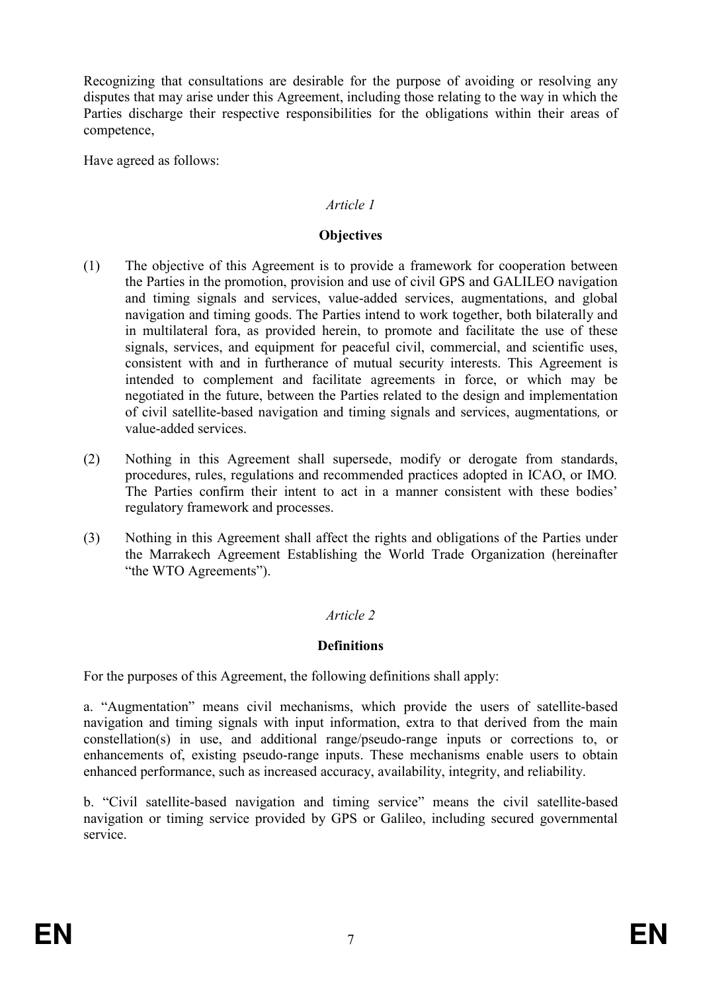Recognizing that consultations are desirable for the purpose of avoiding or resolving any disputes that may arise under this Agreement, including those relating to the way in which the Parties discharge their respective responsibilities for the obligations within their areas of competence,

Have agreed as follows:

# Article 1

# **Objectives**

- (1) The objective of this Agreement is to provide a framework for cooperation between the Parties in the promotion, provision and use of civil GPS and GALILEO navigation and timing signals and services, value-added services, augmentations, and global navigation and timing goods. The Parties intend to work together, both bilaterally and in multilateral fora, as provided herein, to promote and facilitate the use of these signals, services, and equipment for peaceful civil, commercial, and scientific uses, consistent with and in furtherance of mutual security interests. This Agreement is intended to complement and facilitate agreements in force, or which may be negotiated in the future, between the Parties related to the design and implementation of civil satellite-based navigation and timing signals and services, augmentations, or value-added services.
- (2) Nothing in this Agreement shall supersede, modify or derogate from standards, procedures, rules, regulations and recommended practices adopted in ICAO, or IMO. The Parties confirm their intent to act in a manner consistent with these bodies' regulatory framework and processes.
- (3) Nothing in this Agreement shall affect the rights and obligations of the Parties under the Marrakech Agreement Establishing the World Trade Organization (hereinafter "the WTO Agreements").

# Article 2

# **Definitions**

For the purposes of this Agreement, the following definitions shall apply:

a. "Augmentation" means civil mechanisms, which provide the users of satellite-based navigation and timing signals with input information, extra to that derived from the main constellation(s) in use, and additional range/pseudo-range inputs or corrections to, or enhancements of, existing pseudo-range inputs. These mechanisms enable users to obtain enhanced performance, such as increased accuracy, availability, integrity, and reliability.

b. "Civil satellite-based navigation and timing service" means the civil satellite-based navigation or timing service provided by GPS or Galileo, including secured governmental service.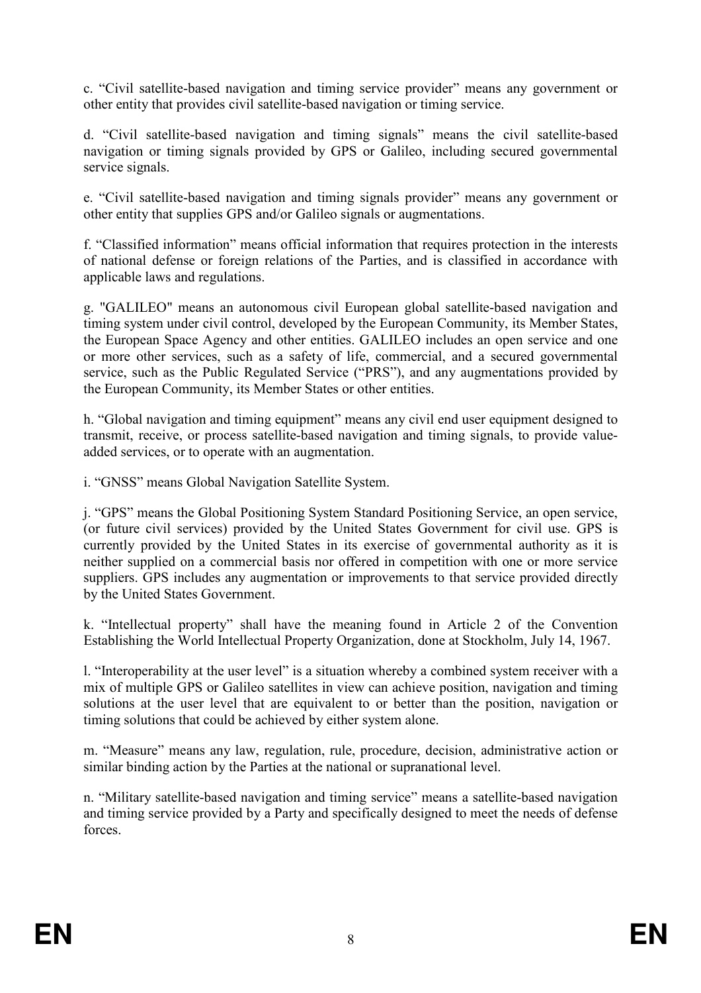c. "Civil satellite-based navigation and timing service provider" means any government or other entity that provides civil satellite-based navigation or timing service.

d. "Civil satellite-based navigation and timing signals" means the civil satellite-based navigation or timing signals provided by GPS or Galileo, including secured governmental service signals.

e. "Civil satellite-based navigation and timing signals provider" means any government or other entity that supplies GPS and/or Galileo signals or augmentations.

f. "Classified information" means official information that requires protection in the interests of national defense or foreign relations of the Parties, and is classified in accordance with applicable laws and regulations.

g. "GALILEO" means an autonomous civil European global satellite-based navigation and timing system under civil control, developed by the European Community, its Member States, the European Space Agency and other entities. GALILEO includes an open service and one or more other services, such as a safety of life, commercial, and a secured governmental service, such as the Public Regulated Service ("PRS"), and any augmentations provided by the European Community, its Member States or other entities.

h. "Global navigation and timing equipment" means any civil end user equipment designed to transmit, receive, or process satellite-based navigation and timing signals, to provide valueadded services, or to operate with an augmentation.

i. "GNSS" means Global Navigation Satellite System.

j. "GPS" means the Global Positioning System Standard Positioning Service, an open service, (or future civil services) provided by the United States Government for civil use. GPS is currently provided by the United States in its exercise of governmental authority as it is neither supplied on a commercial basis nor offered in competition with one or more service suppliers. GPS includes any augmentation or improvements to that service provided directly by the United States Government.

k. "Intellectual property" shall have the meaning found in Article 2 of the Convention Establishing the World Intellectual Property Organization, done at Stockholm, July 14, 1967.

l. "Interoperability at the user level" is a situation whereby a combined system receiver with a mix of multiple GPS or Galileo satellites in view can achieve position, navigation and timing solutions at the user level that are equivalent to or better than the position, navigation or timing solutions that could be achieved by either system alone.

m. "Measure" means any law, regulation, rule, procedure, decision, administrative action or similar binding action by the Parties at the national or supranational level.

n. "Military satellite-based navigation and timing service" means a satellite-based navigation and timing service provided by a Party and specifically designed to meet the needs of defense forces.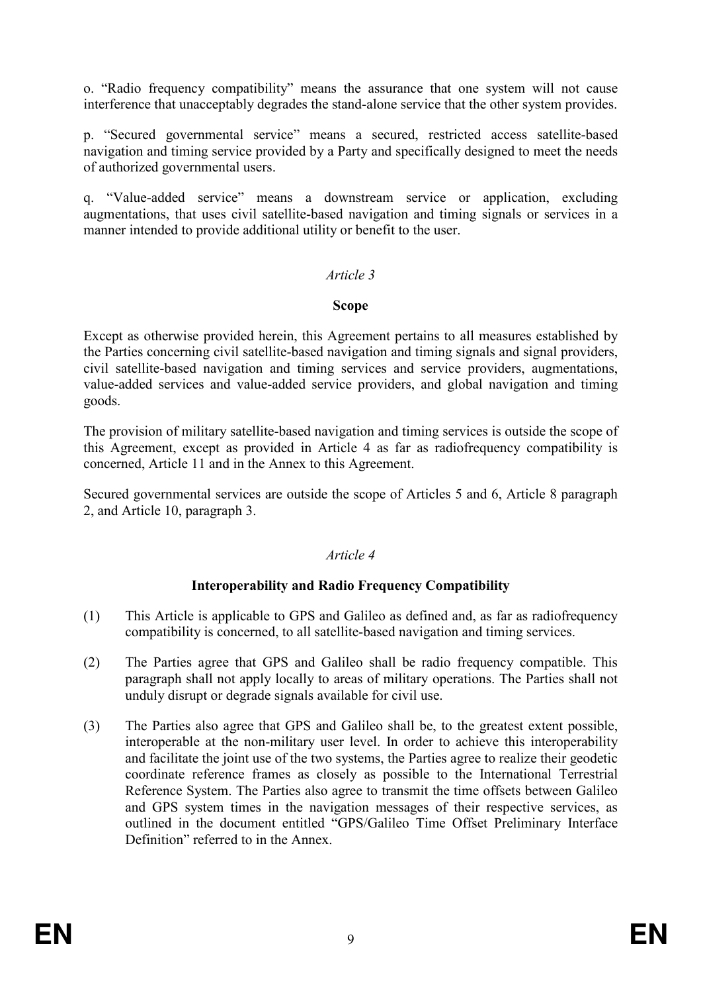o. "Radio frequency compatibility" means the assurance that one system will not cause interference that unacceptably degrades the stand-alone service that the other system provides.

p. "Secured governmental service" means a secured, restricted access satellite-based navigation and timing service provided by a Party and specifically designed to meet the needs of authorized governmental users.

q. "Value-added service" means a downstream service or application, excluding augmentations, that uses civil satellite-based navigation and timing signals or services in a manner intended to provide additional utility or benefit to the user.

### Article 3

#### Scope

Except as otherwise provided herein, this Agreement pertains to all measures established by the Parties concerning civil satellite-based navigation and timing signals and signal providers, civil satellite-based navigation and timing services and service providers, augmentations, value-added services and value-added service providers, and global navigation and timing goods.

The provision of military satellite-based navigation and timing services is outside the scope of this Agreement, except as provided in Article 4 as far as radiofrequency compatibility is concerned, Article 11 and in the Annex to this Agreement.

Secured governmental services are outside the scope of Articles 5 and 6, Article 8 paragraph 2, and Article 10, paragraph 3.

# Article 4

# Interoperability and Radio Frequency Compatibility

- (1) This Article is applicable to GPS and Galileo as defined and, as far as radiofrequency compatibility is concerned, to all satellite-based navigation and timing services.
- (2) The Parties agree that GPS and Galileo shall be radio frequency compatible. This paragraph shall not apply locally to areas of military operations. The Parties shall not unduly disrupt or degrade signals available for civil use.
- (3) The Parties also agree that GPS and Galileo shall be, to the greatest extent possible, interoperable at the non-military user level. In order to achieve this interoperability and facilitate the joint use of the two systems, the Parties agree to realize their geodetic coordinate reference frames as closely as possible to the International Terrestrial Reference System. The Parties also agree to transmit the time offsets between Galileo and GPS system times in the navigation messages of their respective services, as outlined in the document entitled "GPS/Galileo Time Offset Preliminary Interface Definition" referred to in the Annex.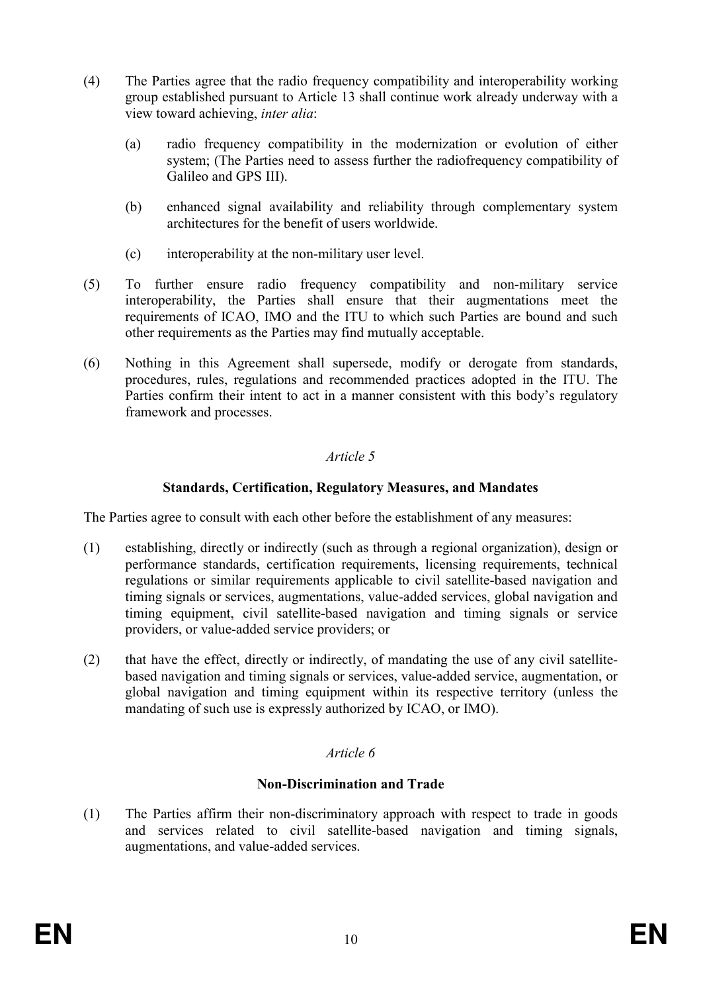- (4) The Parties agree that the radio frequency compatibility and interoperability working group established pursuant to Article 13 shall continue work already underway with a view toward achieving, inter alia:
	- (a) radio frequency compatibility in the modernization or evolution of either system; (The Parties need to assess further the radiofrequency compatibility of Galileo and GPS III).
	- (b) enhanced signal availability and reliability through complementary system architectures for the benefit of users worldwide.
	- (c) interoperability at the non-military user level.
- (5) To further ensure radio frequency compatibility and non-military service interoperability, the Parties shall ensure that their augmentations meet the requirements of ICAO, IMO and the ITU to which such Parties are bound and such other requirements as the Parties may find mutually acceptable.
- (6) Nothing in this Agreement shall supersede, modify or derogate from standards, procedures, rules, regulations and recommended practices adopted in the ITU. The Parties confirm their intent to act in a manner consistent with this body's regulatory framework and processes.

# Standards, Certification, Regulatory Measures, and Mandates

The Parties agree to consult with each other before the establishment of any measures:

- (1) establishing, directly or indirectly (such as through a regional organization), design or performance standards, certification requirements, licensing requirements, technical regulations or similar requirements applicable to civil satellite-based navigation and timing signals or services, augmentations, value-added services, global navigation and timing equipment, civil satellite-based navigation and timing signals or service providers, or value-added service providers; or
- (2) that have the effect, directly or indirectly, of mandating the use of any civil satellitebased navigation and timing signals or services, value-added service, augmentation, or global navigation and timing equipment within its respective territory (unless the mandating of such use is expressly authorized by ICAO, or IMO).

# Article 6

# Non-Discrimination and Trade

(1) The Parties affirm their non-discriminatory approach with respect to trade in goods and services related to civil satellite-based navigation and timing signals, augmentations, and value-added services.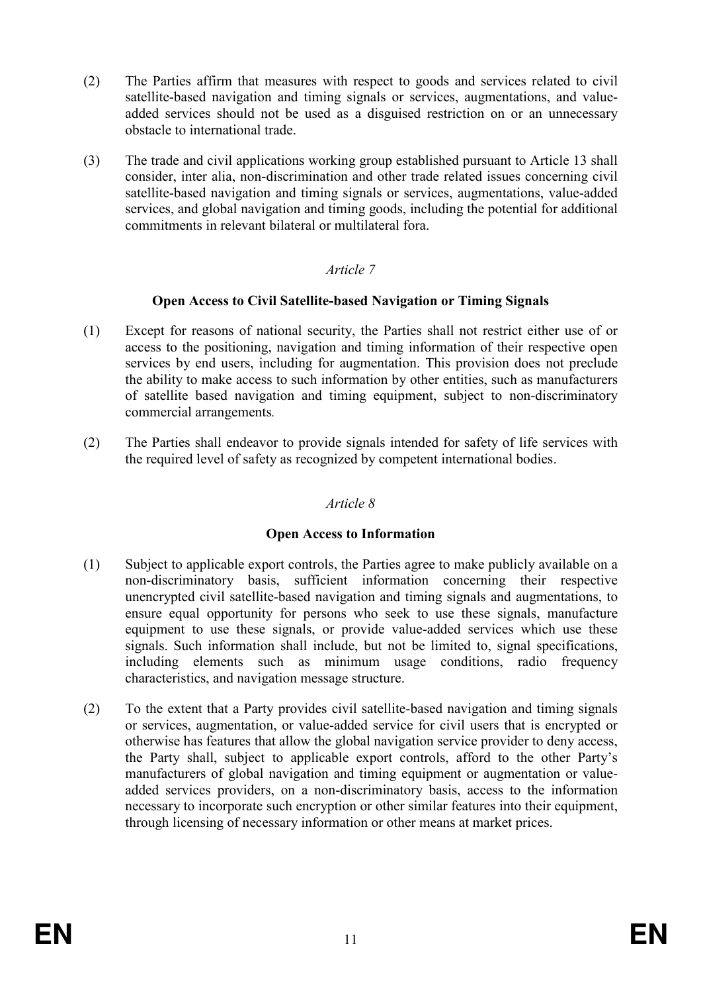- (2) The Parties affirm that measures with respect to goods and services related to civil satellite-based navigation and timing signals or services, augmentations, and valueadded services should not be used as a disguised restriction on or an unnecessary obstacle to international trade.
- (3) The trade and civil applications working group established pursuant to Article 13 shall consider, inter alia, non-discrimination and other trade related issues concerning civil satellite-based navigation and timing signals or services, augmentations, value-added services, and global navigation and timing goods, including the potential for additional commitments in relevant bilateral or multilateral fora.

# Open Access to Civil Satellite-based Navigation or Timing Signals

- (1) Except for reasons of national security, the Parties shall not restrict either use of or access to the positioning, navigation and timing information of their respective open services by end users, including for augmentation. This provision does not preclude the ability to make access to such information by other entities, such as manufacturers of satellite based navigation and timing equipment, subject to non-discriminatory commercial arrangements.
- (2) The Parties shall endeavor to provide signals intended for safety of life services with the required level of safety as recognized by competent international bodies.

# Article 8

# Open Access to Information

- (1) Subject to applicable export controls, the Parties agree to make publicly available on a non-discriminatory basis, sufficient information concerning their respective unencrypted civil satellite-based navigation and timing signals and augmentations, to ensure equal opportunity for persons who seek to use these signals, manufacture equipment to use these signals, or provide value-added services which use these signals. Such information shall include, but not be limited to, signal specifications, including elements such as minimum usage conditions, radio frequency characteristics, and navigation message structure.
- (2) To the extent that a Party provides civil satellite-based navigation and timing signals or services, augmentation, or value-added service for civil users that is encrypted or otherwise has features that allow the global navigation service provider to deny access, the Party shall, subject to applicable export controls, afford to the other Party's manufacturers of global navigation and timing equipment or augmentation or valueadded services providers, on a non-discriminatory basis, access to the information necessary to incorporate such encryption or other similar features into their equipment, through licensing of necessary information or other means at market prices.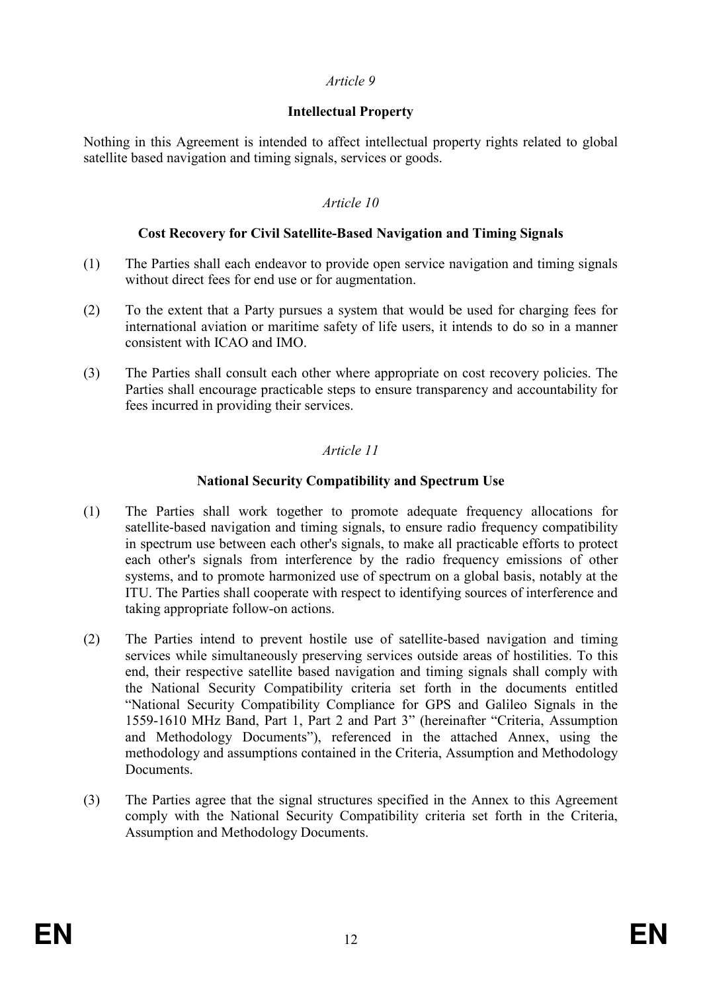### Intellectual Property

Nothing in this Agreement is intended to affect intellectual property rights related to global satellite based navigation and timing signals, services or goods.

### Article 10

#### Cost Recovery for Civil Satellite-Based Navigation and Timing Signals

- (1) The Parties shall each endeavor to provide open service navigation and timing signals without direct fees for end use or for augmentation.
- (2) To the extent that a Party pursues a system that would be used for charging fees for international aviation or maritime safety of life users, it intends to do so in a manner consistent with ICAO and IMO.
- (3) The Parties shall consult each other where appropriate on cost recovery policies. The Parties shall encourage practicable steps to ensure transparency and accountability for fees incurred in providing their services.

# Article 11

### National Security Compatibility and Spectrum Use

- (1) The Parties shall work together to promote adequate frequency allocations for satellite-based navigation and timing signals, to ensure radio frequency compatibility in spectrum use between each other's signals, to make all practicable efforts to protect each other's signals from interference by the radio frequency emissions of other systems, and to promote harmonized use of spectrum on a global basis, notably at the ITU. The Parties shall cooperate with respect to identifying sources of interference and taking appropriate follow-on actions.
- (2) The Parties intend to prevent hostile use of satellite-based navigation and timing services while simultaneously preserving services outside areas of hostilities. To this end, their respective satellite based navigation and timing signals shall comply with the National Security Compatibility criteria set forth in the documents entitled "National Security Compatibility Compliance for GPS and Galileo Signals in the 1559-1610 MHz Band, Part 1, Part 2 and Part 3" (hereinafter "Criteria, Assumption and Methodology Documents"), referenced in the attached Annex, using the methodology and assumptions contained in the Criteria, Assumption and Methodology **Documents**
- (3) The Parties agree that the signal structures specified in the Annex to this Agreement comply with the National Security Compatibility criteria set forth in the Criteria, Assumption and Methodology Documents.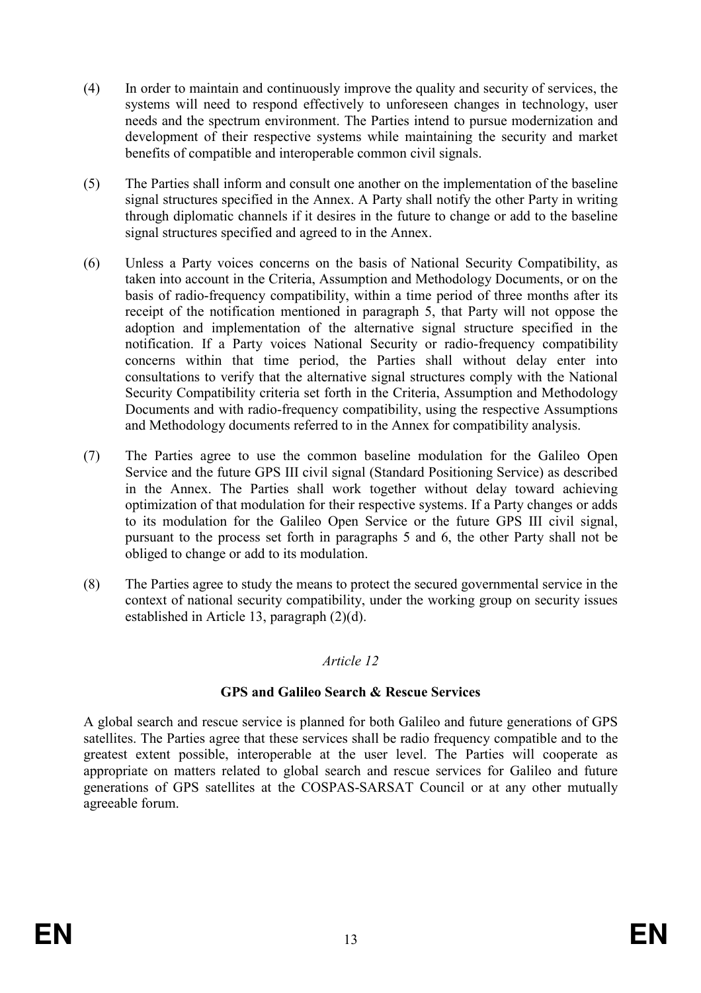- (4) In order to maintain and continuously improve the quality and security of services, the systems will need to respond effectively to unforeseen changes in technology, user needs and the spectrum environment. The Parties intend to pursue modernization and development of their respective systems while maintaining the security and market benefits of compatible and interoperable common civil signals.
- (5) The Parties shall inform and consult one another on the implementation of the baseline signal structures specified in the Annex. A Party shall notify the other Party in writing through diplomatic channels if it desires in the future to change or add to the baseline signal structures specified and agreed to in the Annex.
- (6) Unless a Party voices concerns on the basis of National Security Compatibility, as taken into account in the Criteria, Assumption and Methodology Documents, or on the basis of radio-frequency compatibility, within a time period of three months after its receipt of the notification mentioned in paragraph 5, that Party will not oppose the adoption and implementation of the alternative signal structure specified in the notification. If a Party voices National Security or radio-frequency compatibility concerns within that time period, the Parties shall without delay enter into consultations to verify that the alternative signal structures comply with the National Security Compatibility criteria set forth in the Criteria, Assumption and Methodology Documents and with radio-frequency compatibility, using the respective Assumptions and Methodology documents referred to in the Annex for compatibility analysis.
- (7) The Parties agree to use the common baseline modulation for the Galileo Open Service and the future GPS III civil signal (Standard Positioning Service) as described in the Annex. The Parties shall work together without delay toward achieving optimization of that modulation for their respective systems. If a Party changes or adds to its modulation for the Galileo Open Service or the future GPS III civil signal, pursuant to the process set forth in paragraphs 5 and 6, the other Party shall not be obliged to change or add to its modulation.
- (8) The Parties agree to study the means to protect the secured governmental service in the context of national security compatibility, under the working group on security issues established in Article 13, paragraph (2)(d).

# GPS and Galileo Search & Rescue Services

A global search and rescue service is planned for both Galileo and future generations of GPS satellites. The Parties agree that these services shall be radio frequency compatible and to the greatest extent possible, interoperable at the user level. The Parties will cooperate as appropriate on matters related to global search and rescue services for Galileo and future generations of GPS satellites at the COSPAS-SARSAT Council or at any other mutually agreeable forum.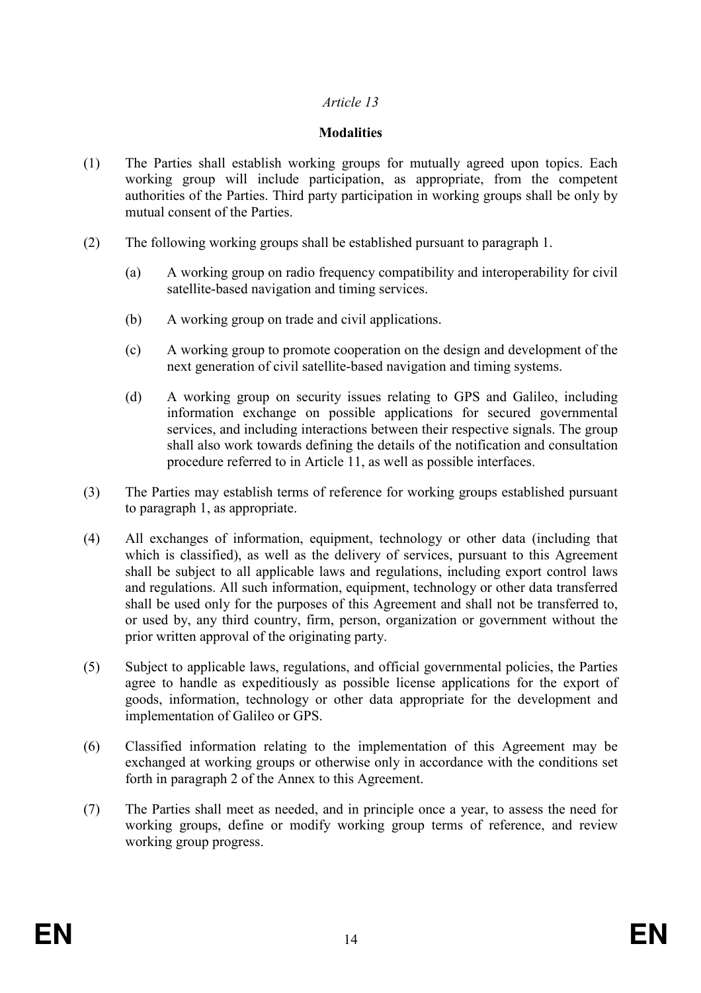### **Modalities**

- (1) The Parties shall establish working groups for mutually agreed upon topics. Each working group will include participation, as appropriate, from the competent authorities of the Parties. Third party participation in working groups shall be only by mutual consent of the Parties.
- (2) The following working groups shall be established pursuant to paragraph 1.
	- (a) A working group on radio frequency compatibility and interoperability for civil satellite-based navigation and timing services.
	- (b) A working group on trade and civil applications.
	- (c) A working group to promote cooperation on the design and development of the next generation of civil satellite-based navigation and timing systems.
	- (d) A working group on security issues relating to GPS and Galileo, including information exchange on possible applications for secured governmental services, and including interactions between their respective signals. The group shall also work towards defining the details of the notification and consultation procedure referred to in Article 11, as well as possible interfaces.
- (3) The Parties may establish terms of reference for working groups established pursuant to paragraph 1, as appropriate.
- (4) All exchanges of information, equipment, technology or other data (including that which is classified), as well as the delivery of services, pursuant to this Agreement shall be subject to all applicable laws and regulations, including export control laws and regulations. All such information, equipment, technology or other data transferred shall be used only for the purposes of this Agreement and shall not be transferred to, or used by, any third country, firm, person, organization or government without the prior written approval of the originating party.
- (5) Subject to applicable laws, regulations, and official governmental policies, the Parties agree to handle as expeditiously as possible license applications for the export of goods, information, technology or other data appropriate for the development and implementation of Galileo or GPS.
- (6) Classified information relating to the implementation of this Agreement may be exchanged at working groups or otherwise only in accordance with the conditions set forth in paragraph 2 of the Annex to this Agreement.
- (7) The Parties shall meet as needed, and in principle once a year, to assess the need for working groups, define or modify working group terms of reference, and review working group progress.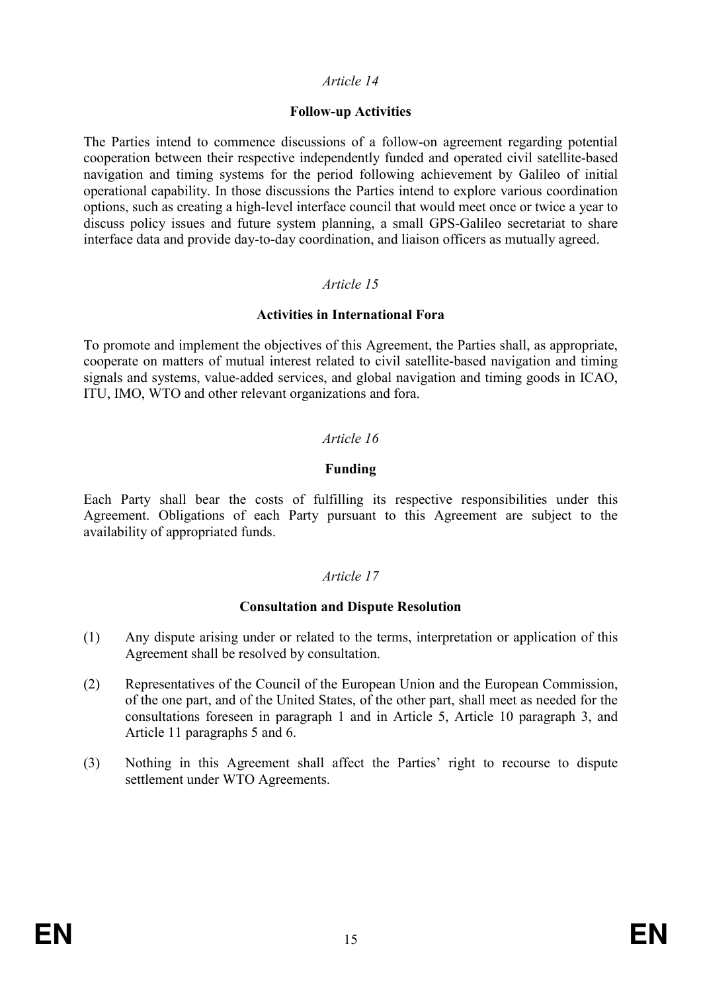#### Follow-up Activities

The Parties intend to commence discussions of a follow-on agreement regarding potential cooperation between their respective independently funded and operated civil satellite-based navigation and timing systems for the period following achievement by Galileo of initial operational capability. In those discussions the Parties intend to explore various coordination options, such as creating a high-level interface council that would meet once or twice a year to discuss policy issues and future system planning, a small GPS-Galileo secretariat to share interface data and provide day-to-day coordination, and liaison officers as mutually agreed.

### Article 15

### Activities in International Fora

To promote and implement the objectives of this Agreement, the Parties shall, as appropriate, cooperate on matters of mutual interest related to civil satellite-based navigation and timing signals and systems, value-added services, and global navigation and timing goods in ICAO, ITU, IMO, WTO and other relevant organizations and fora.

# Article 16

### Funding

Each Party shall bear the costs of fulfilling its respective responsibilities under this Agreement. Obligations of each Party pursuant to this Agreement are subject to the availability of appropriated funds.

#### Article 17

#### Consultation and Dispute Resolution

- (1) Any dispute arising under or related to the terms, interpretation or application of this Agreement shall be resolved by consultation.
- (2) Representatives of the Council of the European Union and the European Commission, of the one part, and of the United States, of the other part, shall meet as needed for the consultations foreseen in paragraph 1 and in Article 5, Article 10 paragraph 3, and Article 11 paragraphs 5 and 6.
- (3) Nothing in this Agreement shall affect the Parties' right to recourse to dispute settlement under WTO Agreements.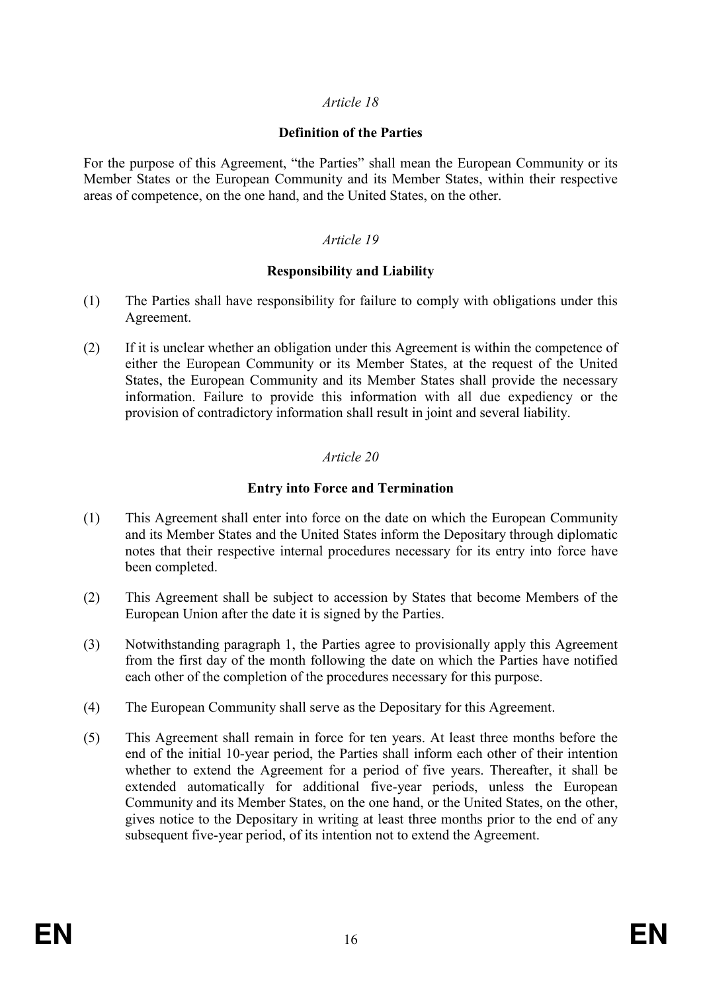#### Definition of the Parties

For the purpose of this Agreement, "the Parties" shall mean the European Community or its Member States or the European Community and its Member States, within their respective areas of competence, on the one hand, and the United States, on the other.

### Article 19

#### Responsibility and Liability

- (1) The Parties shall have responsibility for failure to comply with obligations under this Agreement.
- (2) If it is unclear whether an obligation under this Agreement is within the competence of either the European Community or its Member States, at the request of the United States, the European Community and its Member States shall provide the necessary information. Failure to provide this information with all due expediency or the provision of contradictory information shall result in joint and several liability.

### Article 20

### Entry into Force and Termination

- (1) This Agreement shall enter into force on the date on which the European Community and its Member States and the United States inform the Depositary through diplomatic notes that their respective internal procedures necessary for its entry into force have been completed.
- (2) This Agreement shall be subject to accession by States that become Members of the European Union after the date it is signed by the Parties.
- (3) Notwithstanding paragraph 1, the Parties agree to provisionally apply this Agreement from the first day of the month following the date on which the Parties have notified each other of the completion of the procedures necessary for this purpose.
- (4) The European Community shall serve as the Depositary for this Agreement.
- (5) This Agreement shall remain in force for ten years. At least three months before the end of the initial 10-year period, the Parties shall inform each other of their intention whether to extend the Agreement for a period of five years. Thereafter, it shall be extended automatically for additional five-year periods, unless the European Community and its Member States, on the one hand, or the United States, on the other, gives notice to the Depositary in writing at least three months prior to the end of any subsequent five-year period, of its intention not to extend the Agreement.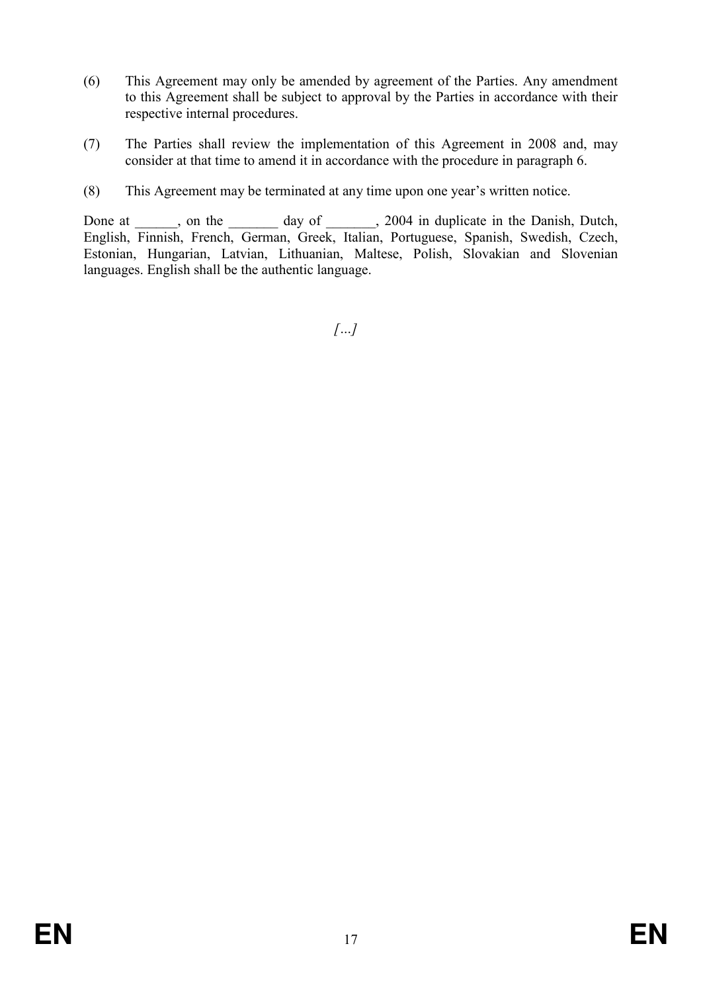- (6) This Agreement may only be amended by agreement of the Parties. Any amendment to this Agreement shall be subject to approval by the Parties in accordance with their respective internal procedures.
- (7) The Parties shall review the implementation of this Agreement in 2008 and, may consider at that time to amend it in accordance with the procedure in paragraph 6.
- (8) This Agreement may be terminated at any time upon one year's written notice.

Done at \_\_\_\_\_, on the \_\_\_\_\_\_\_ day of \_\_\_\_\_, 2004 in duplicate in the Danish, Dutch, English, Finnish, French, German, Greek, Italian, Portuguese, Spanish, Swedish, Czech, Estonian, Hungarian, Latvian, Lithuanian, Maltese, Polish, Slovakian and Slovenian languages. English shall be the authentic language.

 $\left[\ldots\right]$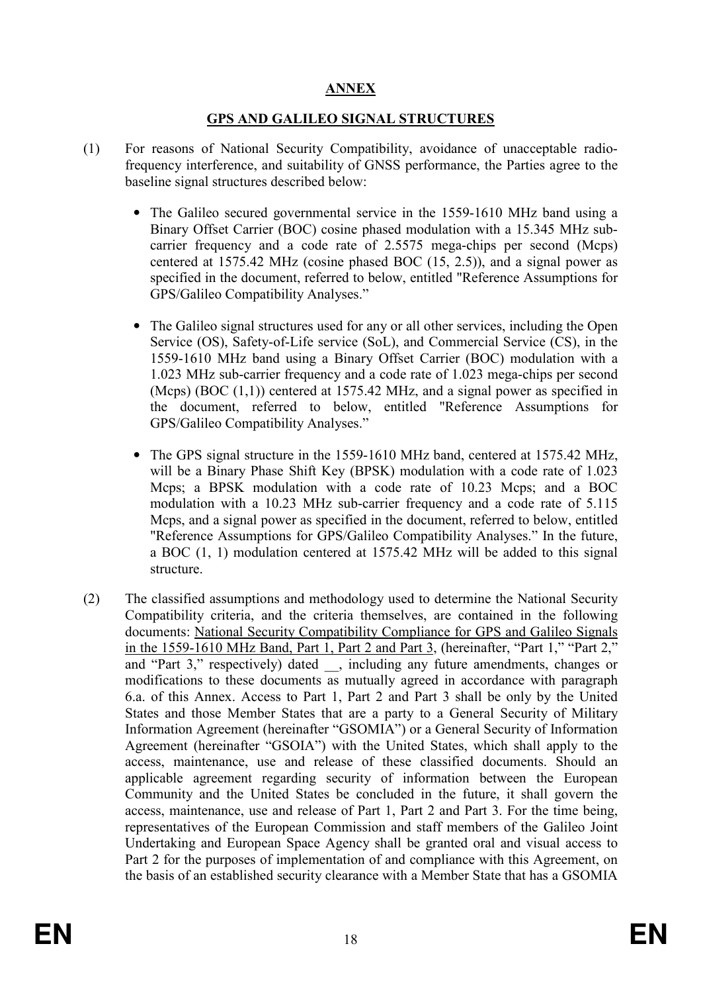# ANNEX

# GPS AND GALILEO SIGNAL STRUCTURES

- (1) For reasons of National Security Compatibility, avoidance of unacceptable radiofrequency interference, and suitability of GNSS performance, the Parties agree to the baseline signal structures described below:
	- The Galileo secured governmental service in the 1559-1610 MHz band using a Binary Offset Carrier (BOC) cosine phased modulation with a 15.345 MHz subcarrier frequency and a code rate of 2.5575 mega-chips per second (Mcps) centered at 1575.42 MHz (cosine phased BOC (15, 2.5)), and a signal power as specified in the document, referred to below, entitled "Reference Assumptions for GPS/Galileo Compatibility Analyses."
	- The Galileo signal structures used for any or all other services, including the Open Service (OS), Safety-of-Life service (SoL), and Commercial Service (CS), in the 1559-1610 MHz band using a Binary Offset Carrier (BOC) modulation with a 1.023 MHz sub-carrier frequency and a code rate of 1.023 mega-chips per second (Mcps) (BOC  $(1,1)$ ) centered at 1575.42 MHz, and a signal power as specified in the document, referred to below, entitled "Reference Assumptions for GPS/Galileo Compatibility Analyses."
	- The GPS signal structure in the 1559-1610 MHz band, centered at 1575.42 MHz, will be a Binary Phase Shift Key (BPSK) modulation with a code rate of 1.023 Mcps; a BPSK modulation with a code rate of 10.23 Mcps; and a BOC modulation with a 10.23 MHz sub-carrier frequency and a code rate of 5.115 Mcps, and a signal power as specified in the document, referred to below, entitled "Reference Assumptions for GPS/Galileo Compatibility Analyses." In the future, a BOC (1, 1) modulation centered at 1575.42 MHz will be added to this signal structure.
- (2) The classified assumptions and methodology used to determine the National Security Compatibility criteria, and the criteria themselves, are contained in the following documents: National Security Compatibility Compliance for GPS and Galileo Signals in the 1559-1610 MHz Band, Part 1, Part 2 and Part 3, (hereinafter, "Part 1," "Part 2," and "Part 3," respectively) dated, including any future amendments, changes or modifications to these documents as mutually agreed in accordance with paragraph 6.a. of this Annex. Access to Part 1, Part 2 and Part 3 shall be only by the United States and those Member States that are a party to a General Security of Military Information Agreement (hereinafter "GSOMIA") or a General Security of Information Agreement (hereinafter "GSOIA") with the United States, which shall apply to the access, maintenance, use and release of these classified documents. Should an applicable agreement regarding security of information between the European Community and the United States be concluded in the future, it shall govern the access, maintenance, use and release of Part 1, Part 2 and Part 3. For the time being, representatives of the European Commission and staff members of the Galileo Joint Undertaking and European Space Agency shall be granted oral and visual access to Part 2 for the purposes of implementation of and compliance with this Agreement, on the basis of an established security clearance with a Member State that has a GSOMIA